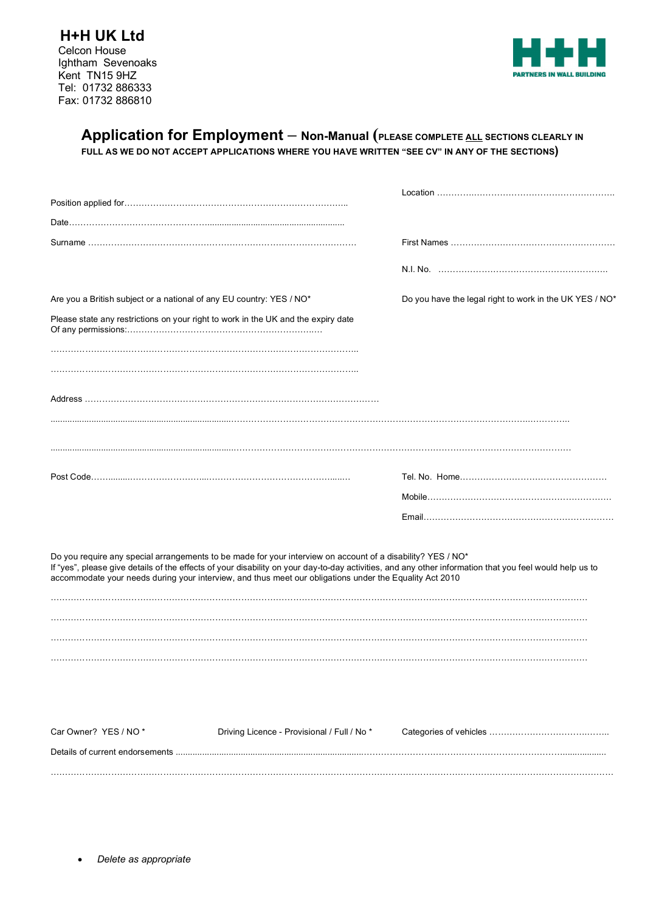

# **Application for Employment – Non-Manual (PLEASE COMPLETE ALL SECTIONS CLEARLY IN FULL AS WE DO NOT ACCEPT APPLICATIONS WHERE YOU HAVE WRITTEN "SEE CV" IN ANY OF THE SECTIONS)**

|                                                                                                                                                           |                                                                                                                                                                                                                        | N.I. No. ……………………………………………………                                                                                                                           |
|-----------------------------------------------------------------------------------------------------------------------------------------------------------|------------------------------------------------------------------------------------------------------------------------------------------------------------------------------------------------------------------------|---------------------------------------------------------------------------------------------------------------------------------------------------------|
| Are you a British subject or a national of any EU country: YES / NO*<br>Please state any restrictions on your right to work in the UK and the expiry date |                                                                                                                                                                                                                        | Do you have the legal right to work in the UK YES / NO*                                                                                                 |
|                                                                                                                                                           |                                                                                                                                                                                                                        |                                                                                                                                                         |
|                                                                                                                                                           |                                                                                                                                                                                                                        |                                                                                                                                                         |
|                                                                                                                                                           |                                                                                                                                                                                                                        |                                                                                                                                                         |
|                                                                                                                                                           |                                                                                                                                                                                                                        |                                                                                                                                                         |
|                                                                                                                                                           |                                                                                                                                                                                                                        |                                                                                                                                                         |
|                                                                                                                                                           |                                                                                                                                                                                                                        |                                                                                                                                                         |
|                                                                                                                                                           | Do you require any special arrangements to be made for your interview on account of a disability? YES / NO*<br>accommodate your needs during your interview, and thus meet our obligations under the Equality Act 2010 | If "yes", please give details of the effects of your disability on your day-to-day activities, and any other information that you feel would help us to |
|                                                                                                                                                           |                                                                                                                                                                                                                        |                                                                                                                                                         |
|                                                                                                                                                           |                                                                                                                                                                                                                        |                                                                                                                                                         |
| Car Owner? YES / NO*                                                                                                                                      | Driving Licence - Provisional / Full / No *                                                                                                                                                                            |                                                                                                                                                         |
|                                                                                                                                                           |                                                                                                                                                                                                                        |                                                                                                                                                         |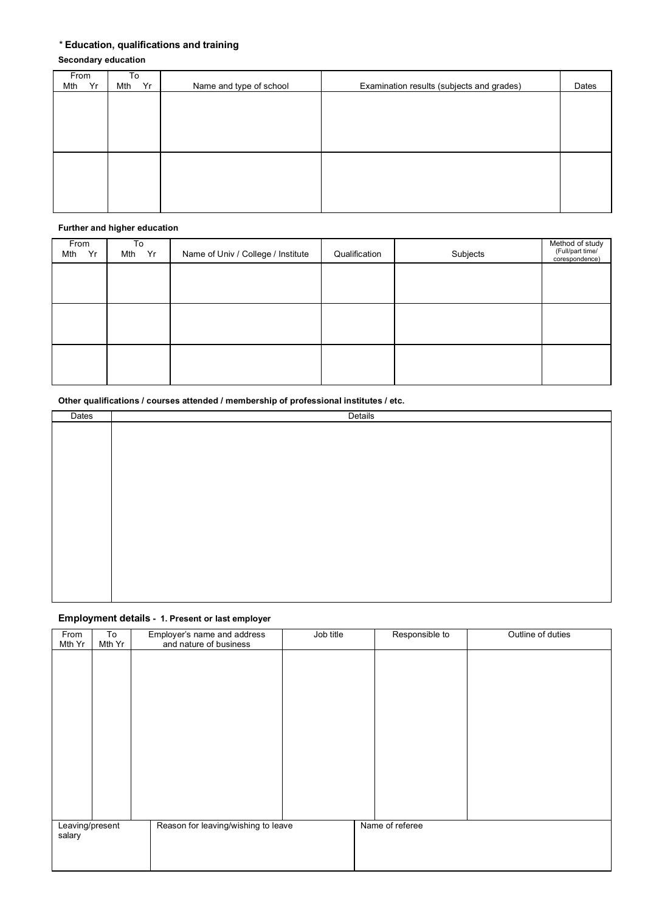# *\** **Education, qualifications and training**

# **Secondary education**

| From      | To        |                         |                                           |       |
|-----------|-----------|-------------------------|-------------------------------------------|-------|
| Yr<br>Mth | Yr<br>Mth | Name and type of school | Examination results (subjects and grades) | Dates |
|           |           |                         |                                           |       |
|           |           |                         |                                           |       |
|           |           |                         |                                           |       |
|           |           |                         |                                           |       |
|           |           |                         |                                           |       |
|           |           |                         |                                           |       |
|           |           |                         |                                           |       |
|           |           |                         |                                           |       |
|           |           |                         |                                           |       |
|           |           |                         |                                           |       |
|           |           |                         |                                           |       |
|           |           |                         |                                           |       |

#### **Further and higher education**

| From<br>Yr<br>Mth | To<br>Mth Yr | Name of Univ / College / Institute | Qualification | Subjects | Method of study<br>(Full/part time/<br>corespondence) |
|-------------------|--------------|------------------------------------|---------------|----------|-------------------------------------------------------|
|                   |              |                                    |               |          |                                                       |
|                   |              |                                    |               |          |                                                       |
|                   |              |                                    |               |          |                                                       |
|                   |              |                                    |               |          |                                                       |
|                   |              |                                    |               |          |                                                       |
|                   |              |                                    |               |          |                                                       |

## **Other qualifications / courses attended / membership of professional institutes / etc.**

| Dates | Details |
|-------|---------|
|       |         |
|       |         |
|       |         |
|       |         |
|       |         |
|       |         |
|       |         |
|       |         |
|       |         |
|       |         |
|       |         |
|       |         |
|       |         |
|       |         |

## **Employment details - 1. Present or last employer**

| From            | To     | Employer's name and address         | Job title | Responsible to  | Outline of duties |
|-----------------|--------|-------------------------------------|-----------|-----------------|-------------------|
| Mth Yr          | Mth Yr | and nature of business              |           |                 |                   |
|                 |        |                                     |           |                 |                   |
|                 |        |                                     |           |                 |                   |
|                 |        |                                     |           |                 |                   |
|                 |        |                                     |           |                 |                   |
|                 |        |                                     |           |                 |                   |
|                 |        |                                     |           |                 |                   |
|                 |        |                                     |           |                 |                   |
|                 |        |                                     |           |                 |                   |
|                 |        |                                     |           |                 |                   |
|                 |        |                                     |           |                 |                   |
|                 |        |                                     |           |                 |                   |
|                 |        |                                     |           |                 |                   |
|                 |        |                                     |           |                 |                   |
|                 |        |                                     |           |                 |                   |
| Leaving/present |        | Reason for leaving/wishing to leave |           | Name of referee |                   |
| salary          |        |                                     |           |                 |                   |
|                 |        |                                     |           |                 |                   |
|                 |        |                                     |           |                 |                   |
|                 |        |                                     |           |                 |                   |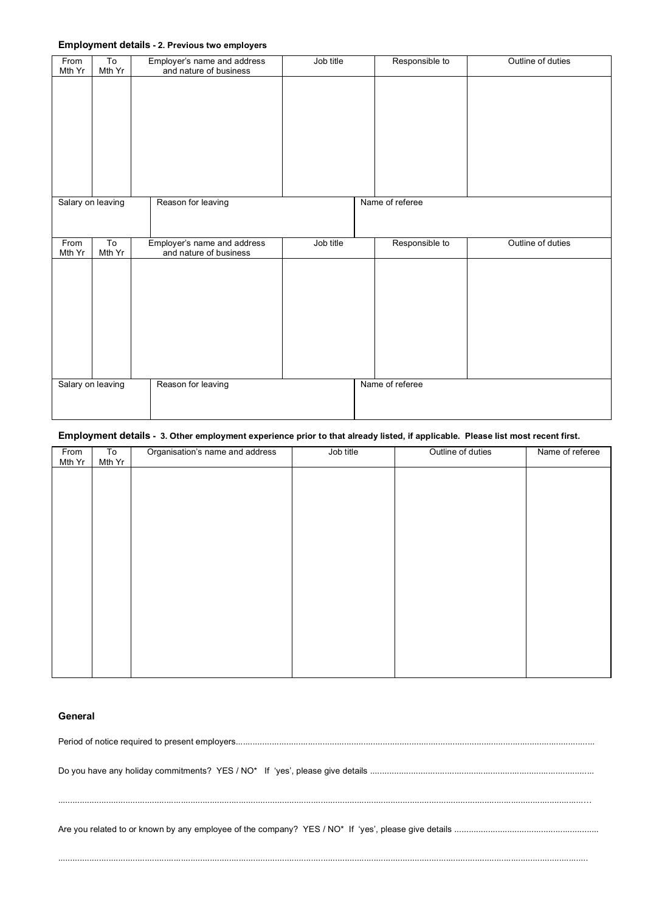### **Employment details - 2. Previous two employers**

| From<br>Mth Yr    | To<br>Mth Yr   | Employer's name and address<br>and nature of business | Job title | Responsible to  | Outline of duties |
|-------------------|----------------|-------------------------------------------------------|-----------|-----------------|-------------------|
|                   |                |                                                       |           |                 |                   |
|                   |                |                                                       |           |                 |                   |
|                   |                |                                                       |           |                 |                   |
|                   |                |                                                       |           |                 |                   |
|                   |                |                                                       |           |                 |                   |
|                   |                |                                                       |           |                 |                   |
| Salary on leaving |                | Reason for leaving                                    |           | Name of referee |                   |
|                   |                |                                                       |           |                 |                   |
| From              | T <sub>o</sub> | Employer's name and address                           | Job title | Responsible to  | Outline of duties |
|                   |                |                                                       |           |                 |                   |
|                   |                |                                                       |           |                 |                   |
|                   |                |                                                       |           |                 |                   |
|                   |                |                                                       |           |                 |                   |
|                   |                |                                                       |           |                 |                   |
|                   |                |                                                       |           |                 |                   |
| Salary on leaving |                | Reason for leaving                                    |           | Name of referee |                   |
|                   |                |                                                       |           |                 |                   |
| Mth Yr            | Mth Yr         | and nature of business                                |           |                 |                   |

### **Employment details - 3. Other employment experience prior to that already listed, if applicable. Please list most recent first.**

| From   | To     | Organisation's name and address | Job title | Outline of duties | Name of referee |
|--------|--------|---------------------------------|-----------|-------------------|-----------------|
| Mth Yr | Mth Yr |                                 |           |                   |                 |
|        |        |                                 |           |                   |                 |
|        |        |                                 |           |                   |                 |
|        |        |                                 |           |                   |                 |
|        |        |                                 |           |                   |                 |
|        |        |                                 |           |                   |                 |
|        |        |                                 |           |                   |                 |
|        |        |                                 |           |                   |                 |
|        |        |                                 |           |                   |                 |
|        |        |                                 |           |                   |                 |
|        |        |                                 |           |                   |                 |
|        |        |                                 |           |                   |                 |
|        |        |                                 |           |                   |                 |
|        |        |                                 |           |                   |                 |
|        |        |                                 |           |                   |                 |
|        |        |                                 |           |                   |                 |
|        |        |                                 |           |                   |                 |
|        |        |                                 |           |                   |                 |
|        |        |                                 |           |                   |                 |
|        |        |                                 |           |                   |                 |

..........................................................................................................................................................................................................................…

............................................................................................................................................................................................................................

### **General**

Period of notice required to present employers.....................................................................................................................................................

Do you have any holiday commitments? YES / NO\* If 'yes', please give details .............................................................................................

Are you related to or known by any employee of the company? YES / NO\* If 'yes', please give details ............................................................